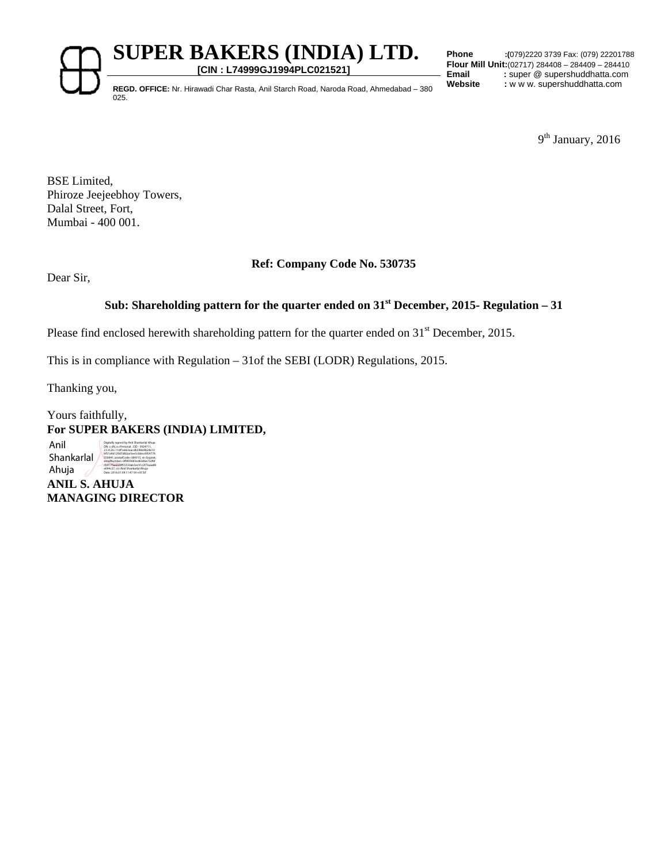**SUPER BAKERS (INDIA) LTD.** 

**[CIN : L74999GJ1994PLC021521]**

**Phone :(**079)2220 3739 Fax: (079) 22201788 **Flour Mill Unit:**(02717) 284408 – 284409 – 284410 **Email** : super @ supershuddhatta.com<br> **Website** : w w w. supershuddhatta.com

**REGD. OFFICE:** Nr. Hirawadi Char Rasta, Anil Starch Road, Naroda Road, Ahmedabad – 380 025.

9<sup>th</sup> January, 2016

BSE Limited, Phiroze Jeejeebhoy Towers, Dalal Street, Fort, Mumbai - 400 001.

## **Ref: Company Code No. 530735**

Dear Sir,

## **Sub: Shareholding pattern for the quarter ended on 31st December, 2015- Regulation – 31**

Please find enclosed herewith shareholding pattern for the quarter ended on 31<sup>st</sup> December, 2015.

This is in compliance with Regulation – 31of the SEBI (LODR) Regulations, 2015.

Thanking you,

## Yours faithfully, **For SUPER BAKERS (INDIA) LIMITED,**

Anil **Shankarlal** Ahuja

**ANIL S. AHUJA MANAGING DIRECTOR**  e094c27, cn=Anil Shankarlal Ahuja Date: 2016.01.09 11:47:54 +05'30'

Digitally signed by Anil Shankarlal Ahuja DN: c=IN, o=Personal , CID - 3924711, 2.5.4.20=11df1e663aacdb59bb9b24e10 bf51a9d129d7d82ae3ee5c0decd954778 55b841, postalCode=380015, st=Gujarat, serialNumber=3ffd93683ed63d6e732f6f cb417faa6684f55550ab5ec91c2f73aaa88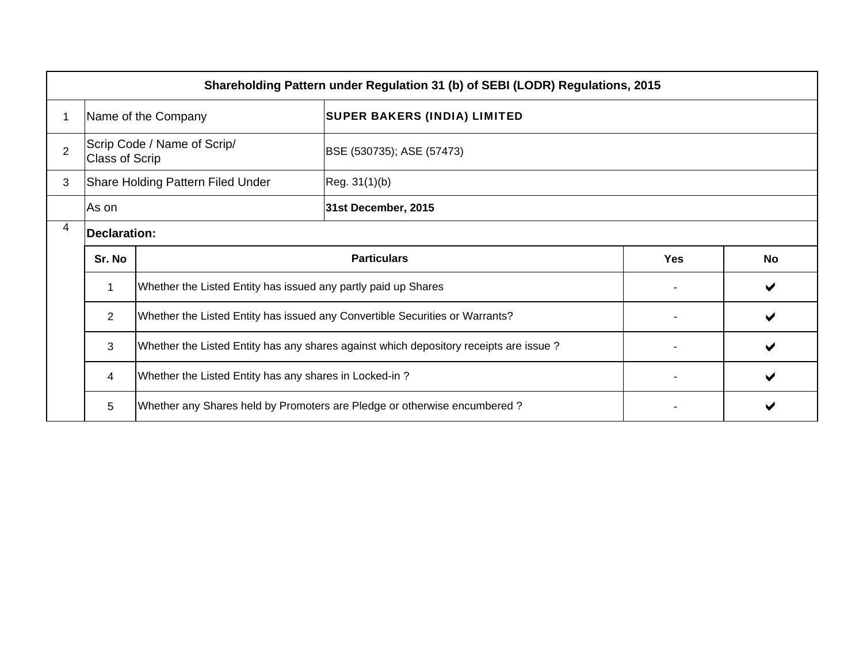|                |                       |                                                                | Shareholding Pattern under Regulation 31 (b) of SEBI (LODR) Regulations, 2015         |            |           |  |  |  |  |  |  |  |  |  |  |  |
|----------------|-----------------------|----------------------------------------------------------------|---------------------------------------------------------------------------------------|------------|-----------|--|--|--|--|--|--|--|--|--|--|--|
|                |                       | Name of the Company                                            | <b>SUPER BAKERS (INDIA) LIMITED</b>                                                   |            |           |  |  |  |  |  |  |  |  |  |  |  |
| $\overline{2}$ | <b>Class of Scrip</b> | Scrip Code / Name of Scrip/                                    | BSE (530735); ASE (57473)                                                             |            |           |  |  |  |  |  |  |  |  |  |  |  |
| 3              |                       | Share Holding Pattern Filed Under                              | Reg. 31(1)(b)                                                                         |            |           |  |  |  |  |  |  |  |  |  |  |  |
|                | As on                 |                                                                | 31st December, 2015                                                                   |            |           |  |  |  |  |  |  |  |  |  |  |  |
| 4              |                       | <b>Declaration:</b><br><b>Particulars</b>                      |                                                                                       |            |           |  |  |  |  |  |  |  |  |  |  |  |
|                | Sr. No                |                                                                |                                                                                       | <b>Yes</b> | <b>No</b> |  |  |  |  |  |  |  |  |  |  |  |
|                | $\mathbf{1}$          | Whether the Listed Entity has issued any partly paid up Shares |                                                                                       |            | ✔         |  |  |  |  |  |  |  |  |  |  |  |
|                | $\overline{2}$        |                                                                | Whether the Listed Entity has issued any Convertible Securities or Warrants?          |            | ✔         |  |  |  |  |  |  |  |  |  |  |  |
|                | 3                     |                                                                | Whether the Listed Entity has any shares against which depository receipts are issue? |            |           |  |  |  |  |  |  |  |  |  |  |  |
|                | 4                     | Whether the Listed Entity has any shares in Locked-in?         |                                                                                       |            |           |  |  |  |  |  |  |  |  |  |  |  |
|                | 5                     |                                                                | Whether any Shares held by Promoters are Pledge or otherwise encumbered?              |            |           |  |  |  |  |  |  |  |  |  |  |  |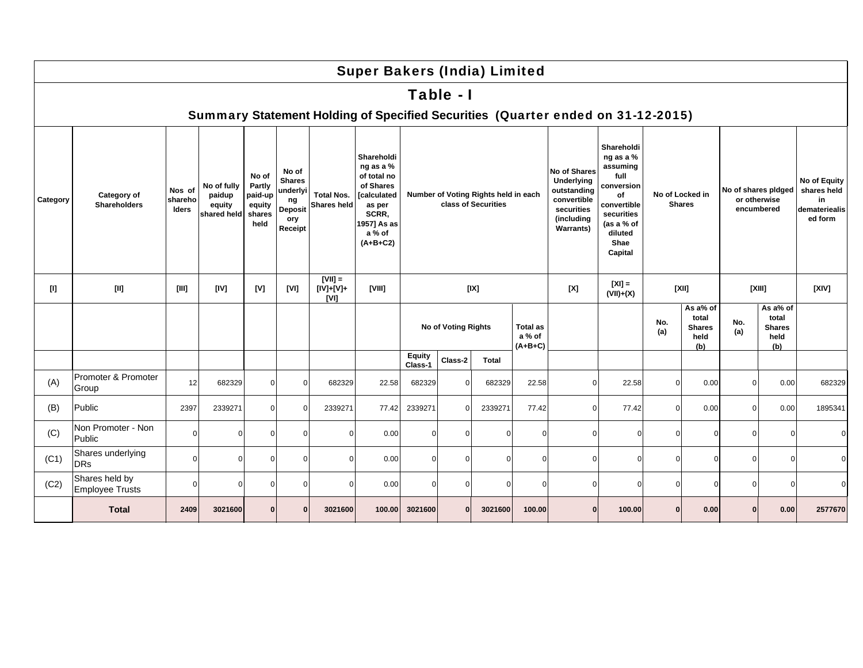|          |                                    |                                   |                                                |                                                        |                                                                              |                                  | <b>Super Bakers (India) Limited</b>                                                                                                 |                          |                            |                                                             |                                        |                                                                                                           |                                                                                                                                          |            |                                                   |                                                   |                                                   |                                                               |
|----------|------------------------------------|-----------------------------------|------------------------------------------------|--------------------------------------------------------|------------------------------------------------------------------------------|----------------------------------|-------------------------------------------------------------------------------------------------------------------------------------|--------------------------|----------------------------|-------------------------------------------------------------|----------------------------------------|-----------------------------------------------------------------------------------------------------------|------------------------------------------------------------------------------------------------------------------------------------------|------------|---------------------------------------------------|---------------------------------------------------|---------------------------------------------------|---------------------------------------------------------------|
|          |                                    |                                   |                                                |                                                        |                                                                              |                                  |                                                                                                                                     |                          | Table - I                  |                                                             |                                        |                                                                                                           |                                                                                                                                          |            |                                                   |                                                   |                                                   |                                                               |
|          |                                    |                                   |                                                |                                                        |                                                                              |                                  |                                                                                                                                     |                          |                            |                                                             |                                        | Summary Statement Holding of Specified Securities (Quarter ended on 31-12-2015)                           |                                                                                                                                          |            |                                                   |                                                   |                                                   |                                                               |
| Category | Category of<br><b>Shareholders</b> | Nos of<br>shareho<br><b>Iders</b> | No of fully<br>paidup<br>equity<br>shared held | No of<br>Partly<br>paid-up<br>equity<br>shares<br>held | No of<br><b>Shares</b><br>underlyi<br>ng<br><b>Deposit</b><br>ory<br>Receipt | <b>Total Nos.</b><br>Shares held | Shareholdi<br>ng as a %<br>of total no<br>of Shares<br><b>[calculated</b><br>as per<br>SCRR,<br>1957] As as<br>a % of<br>$(A+B+C2)$ |                          |                            | Number of Voting Rights held in each<br>class of Securities |                                        | No of Shares<br>Underlying<br>outstanding<br>convertible<br>securities<br>(including<br><b>Warrants</b> ) | Shareholdi<br>ng as a %<br>assuming<br>full<br>conversion<br>of<br>convertible<br>securities<br>(as a % of<br>diluted<br>Shae<br>Capital |            | No of Locked in<br><b>Shares</b>                  | No of shares pidged<br>or otherwise<br>encumbered |                                                   | No of Equity<br>shares held<br>in<br>demateriealis<br>ed form |
| [1]      | $[11]$                             | [111]                             | [IV]                                           | [V]                                                    | [V]                                                                          | $[VII] =$<br>[IV]+[V]+<br>[V1]   | [VIII]                                                                                                                              |                          | [IX]                       |                                                             |                                        | [X]                                                                                                       | $[X] =$<br>$(VII)+(X)$                                                                                                                   |            | [XII]                                             | [XIII]                                            |                                                   | [XIV]                                                         |
|          |                                    |                                   |                                                |                                                        |                                                                              |                                  |                                                                                                                                     |                          | <b>No of Voting Rights</b> |                                                             | <b>Total as</b><br>a % of<br>$(A+B+C)$ |                                                                                                           |                                                                                                                                          | No.<br>(a) | As a% of<br>total<br><b>Shares</b><br>held<br>(b) | No.<br>(a)                                        | As a% of<br>total<br><b>Shares</b><br>held<br>(b) |                                                               |
|          |                                    |                                   |                                                |                                                        |                                                                              |                                  |                                                                                                                                     | <b>Equity</b><br>Class-1 | Class-2                    | <b>Total</b>                                                |                                        |                                                                                                           |                                                                                                                                          |            |                                                   |                                                   |                                                   |                                                               |
| (A)      | Promoter & Promoter<br>Group       | 12                                | 682329                                         | $\Omega$                                               | $\Omega$                                                                     | 682329                           | 22.58                                                                                                                               | 682329                   |                            | 682329                                                      | 22.58                                  | $\Omega$                                                                                                  | 22.58                                                                                                                                    | $\Omega$   | 0.00                                              | $\overline{0}$                                    | 0.00                                              | 682329                                                        |
| (B)      | Public                             | 2397                              | 2339271                                        | $\Omega$                                               | $\Omega$                                                                     | 2339271                          | 77.42                                                                                                                               | 2339271                  |                            | 2339271                                                     | 77.42                                  | $\Omega$                                                                                                  | 77.42                                                                                                                                    | $\Omega$   | 0.00                                              | $\overline{0}$                                    | 0.00                                              | 1895341                                                       |
| (C)      | Non Promoter - Non<br>Public       | $\Omega$                          | O                                              | $\Omega$                                               | $\Omega$                                                                     | $\Omega$                         | 0.00                                                                                                                                | $\mathbf 0$              | $\Omega$                   | 0                                                           | $\Omega$                               | $\Omega$                                                                                                  | 0                                                                                                                                        | 0          | $\Omega$                                          | $\mathbf 0$                                       | $\mathbf 0$                                       | $\Omega$                                                      |
| (C1)     | Shares underlying<br><b>DRs</b>    | $\Omega$                          | O                                              | $\Omega$                                               | $\Omega$                                                                     | $\Omega$                         | 0.00                                                                                                                                | $\Omega$                 | $\Omega$                   | $\Omega$                                                    | $\Omega$                               | $\Omega$                                                                                                  | $\Omega$                                                                                                                                 | $\Omega$   | $\Omega$                                          | $\mathbf 0$                                       | $\mathbf 0$                                       | $\Omega$                                                      |
| (C2)     | Shares held by<br>Employee Trusts  | $\Omega$                          | ŋ                                              | $\Omega$                                               | $\Omega$                                                                     | $\Omega$                         | 0.00                                                                                                                                | $\Omega$                 | $\cap$                     | 0                                                           | $\Omega$                               | $\Omega$                                                                                                  | ŋ                                                                                                                                        | $\Omega$   | $\Omega$                                          | $\mathbf 0$                                       | $\Omega$                                          | $\Omega$                                                      |
|          | <b>Total</b>                       | 2409                              | 3021600                                        | n                                                      |                                                                              | 3021600                          | 100.00                                                                                                                              | 3021600                  | $\mathbf{0}$               | 3021600                                                     | 100.00                                 | n                                                                                                         | 100.00                                                                                                                                   | $\Omega$   | 0.00                                              | $\mathbf{0}$                                      | 0.00                                              | 2577670                                                       |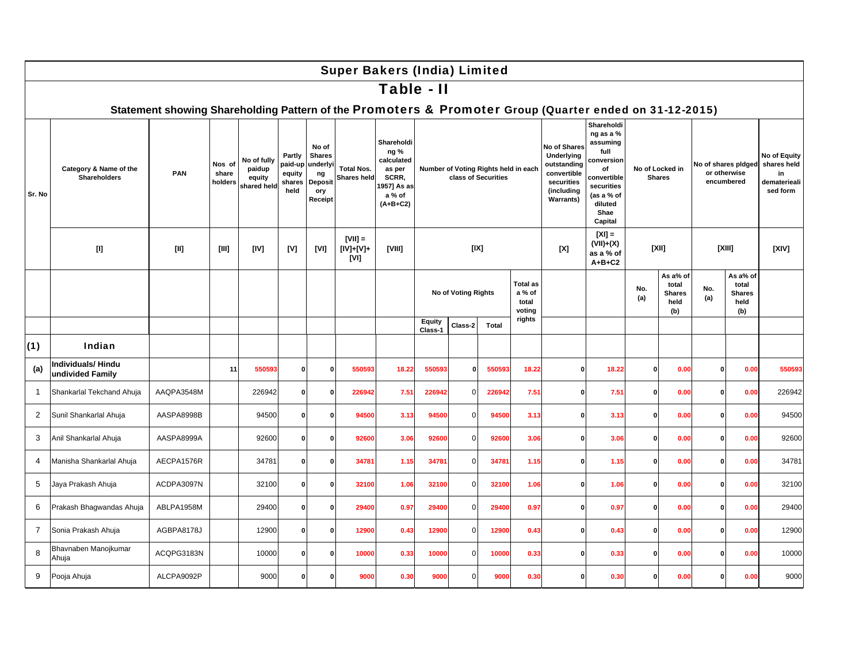|                |                                               |                                                                                                        |                            |                                                |                                               |                                                                     | <b>Super Bakers (India) Limited</b>     |                                                                                            |                                                              |              |                                                             |                                              |                                                                                                                 |                                                                                                                                          |              |                                                   |                     |                                                   |                                                               |
|----------------|-----------------------------------------------|--------------------------------------------------------------------------------------------------------|----------------------------|------------------------------------------------|-----------------------------------------------|---------------------------------------------------------------------|-----------------------------------------|--------------------------------------------------------------------------------------------|--------------------------------------------------------------|--------------|-------------------------------------------------------------|----------------------------------------------|-----------------------------------------------------------------------------------------------------------------|------------------------------------------------------------------------------------------------------------------------------------------|--------------|---------------------------------------------------|---------------------|---------------------------------------------------|---------------------------------------------------------------|
|                |                                               |                                                                                                        |                            |                                                |                                               |                                                                     |                                         | Table - II                                                                                 |                                                              |              |                                                             |                                              |                                                                                                                 |                                                                                                                                          |              |                                                   |                     |                                                   |                                                               |
|                |                                               | Statement showing Shareholding Pattern of the Promoters & Promoter Group (Quarter ended on 31-12-2015) |                            |                                                |                                               |                                                                     |                                         |                                                                                            |                                                              |              |                                                             |                                              |                                                                                                                 |                                                                                                                                          |              |                                                   |                     |                                                   |                                                               |
| Sr. No         | Category & Name of the<br><b>Shareholders</b> | PAN                                                                                                    | Nos of<br>share<br>holders | No of fully<br>paidup<br>equity<br>shared held | Partly<br>paid-up<br>equity<br>shares<br>held | No of<br><b>Shares</b><br>underly<br>ng<br>Deposi<br>ory<br>Receipt | <b>Total Nos.</b><br><b>Shares held</b> | Shareholdi<br>ng %<br>calculated<br>as per<br>SCRR,<br>1957] As as<br>a % of<br>$(A+B+C2)$ |                                                              |              | Number of Voting Rights held in each<br>class of Securities |                                              | <b>No of Shares</b><br>Underlying<br>outstanding<br>convertible<br>securities<br>(including<br><b>Warrants)</b> | Shareholdi<br>ng as a %<br>assuming<br>full<br>conversion<br>of<br>convertible<br>securities<br>(as a % of<br>diluted<br>Shae<br>Capital |              | No of Locked in<br><b>Shares</b>                  | No of shares pidged | or otherwise<br>encumbered                        | No of Equity<br>shares held<br>in<br>dematerieali<br>sed form |
|                |                                               | $[11]$                                                                                                 | [III]                      | [IV]                                           | [V]                                           | [V1]                                                                | $[VII] =$<br>[IV]+[V]+<br>[V]           | [VIII]                                                                                     |                                                              | [IX]         |                                                             |                                              | [X]                                                                                                             | $[X] =$<br>$(VII)+(X)$<br>as a % of<br>$A+B+C2$                                                                                          |              | [XII]                                             |                     | [XIII]                                            | [X V]                                                         |
|                |                                               |                                                                                                        |                            |                                                |                                               |                                                                     |                                         |                                                                                            | No of Voting Rights<br>Equity<br>Class-2<br>Total<br>Class-1 |              |                                                             | <b>Total as</b><br>a % of<br>total<br>voting |                                                                                                                 |                                                                                                                                          | No.<br>(a)   | As a% of<br>total<br><b>Shares</b><br>held<br>(b) | No.<br>(a)          | As a% of<br>total<br><b>Shares</b><br>held<br>(b) |                                                               |
|                |                                               |                                                                                                        |                            |                                                |                                               |                                                                     |                                         |                                                                                            |                                                              |              |                                                             | rights                                       |                                                                                                                 |                                                                                                                                          |              |                                                   |                     |                                                   |                                                               |
| (1)            | Indian                                        |                                                                                                        |                            |                                                |                                               |                                                                     |                                         |                                                                                            |                                                              |              |                                                             |                                              |                                                                                                                 |                                                                                                                                          |              |                                                   |                     |                                                   |                                                               |
| (a)            | Individuals/Hindu<br>undivided Family         |                                                                                                        | 11                         | 550593                                         | $\Omega$                                      | $\Omega$                                                            | 550593                                  | 18.22                                                                                      | 550593                                                       | $\mathbf{0}$ | 550593                                                      | 18.22                                        | $\mathbf{0}$                                                                                                    | 18.22                                                                                                                                    | $\mathbf{0}$ | 0.00                                              | $\Omega$            | 0.00                                              | 550593                                                        |
| $\overline{1}$ | Shankarlal Tekchand Ahuja                     | AAQPA3548M                                                                                             |                            | 226942                                         | 0                                             | 0                                                                   | 226942                                  | 7.51                                                                                       | 226942                                                       | $\mathbf{0}$ | 226942                                                      | 7.51                                         | $\Omega$                                                                                                        | 7.5'                                                                                                                                     | $\mathbf{0}$ | 0.00                                              | 0                   | 0.00                                              | 226942                                                        |
| $\overline{2}$ | Sunil Shankarlal Ahuja                        | AASPA8998B                                                                                             |                            | 94500                                          | $\Omega$                                      | $\Omega$                                                            | 94500                                   | 3.13                                                                                       | 94500                                                        | $\Omega$     | 94500                                                       | 3.13                                         | $\Omega$                                                                                                        | 3.13                                                                                                                                     | $\Omega$     | 0.00                                              | O                   | 0.00                                              | 94500                                                         |
| 3              | Anil Shankarlal Ahuja                         | AASPA8999A                                                                                             |                            | 92600                                          | $\Omega$                                      | 0                                                                   | 92600                                   | 3.06                                                                                       | 92600                                                        | $\Omega$     | 92600                                                       | 3.06                                         | $\Omega$                                                                                                        | 3.06                                                                                                                                     | $\mathbf{0}$ | 0.00                                              | $\Omega$            | 0.00                                              | 92600                                                         |
| 4              | Manisha Shankarlal Ahuja                      | AECPA1576R                                                                                             |                            | 34781                                          | 0                                             | 0                                                                   | 34781                                   | 1.15                                                                                       | 34781                                                        | $\mathbf{0}$ | 34781                                                       | 1.15                                         | 0                                                                                                               | 1.15                                                                                                                                     | $\mathbf{0}$ | 0.00                                              | $\mathbf{0}$        | 0.00                                              | 34781                                                         |
| 5              | Jaya Prakash Ahuja                            | ACDPA3097N                                                                                             |                            | 32100                                          | $\Omega$                                      | O                                                                   | 32100                                   | 1.06                                                                                       | 32100                                                        | $\mathbf 0$  | 32100                                                       | 1.06                                         | 0                                                                                                               | 1.06                                                                                                                                     | $\mathbf{0}$ | 0.00                                              | $\Omega$            | 0.00                                              | 32100                                                         |
| 6              | Prakash Bhagwandas Ahuja                      | ABLPA1958M                                                                                             |                            | 29400                                          | $\Omega$                                      | $\mathbf{0}$                                                        | 29400                                   | 0.97                                                                                       | 29400                                                        | $\Omega$     | 29400                                                       | 0.97                                         | $\Omega$                                                                                                        | 0.97                                                                                                                                     | $\mathbf{0}$ | 0.00                                              | $\Omega$            | 0.00                                              | 29400                                                         |
| $\overline{7}$ | Sonia Prakash Ahuja                           | AGBPA8178J                                                                                             |                            | 12900                                          | $\Omega$                                      | 0                                                                   | 12900                                   | 0.43                                                                                       | 12900                                                        | $\mathbf{0}$ | 12900                                                       | 0.43                                         | 0                                                                                                               | 0.43                                                                                                                                     | $\mathbf{0}$ | 0.00                                              | $\Omega$            | 0.00                                              | 12900                                                         |
| 8              | Bhavnaben Manojkumar<br>Ahuja                 | ACQPG3183N                                                                                             |                            | 10000                                          | $\mathbf{0}$                                  | 0                                                                   | 10000                                   | 0.33                                                                                       | 10000                                                        | $\mathbf 0$  | 10000                                                       | 0.33                                         | 0                                                                                                               | 0.33                                                                                                                                     | $\mathbf{0}$ | 0.00                                              | $\mathbf{0}$        | 0.00                                              | 10000                                                         |
| 9              | Pooja Ahuja                                   | ALCPA9092P                                                                                             |                            | 9000                                           | $\Omega$                                      | n                                                                   | 9000                                    | 0.30                                                                                       | 9000                                                         | $\Omega$     | 9000                                                        | 0.30                                         | $\Omega$                                                                                                        | 0.30                                                                                                                                     | $\mathbf{0}$ | 0.00                                              | $\Omega$            | 0.00                                              | 9000                                                          |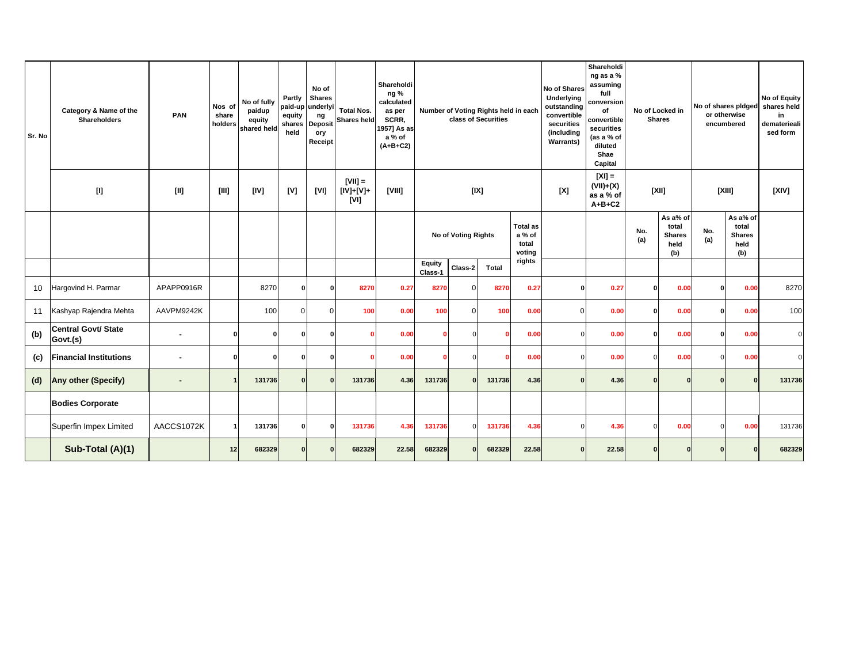| Sr. No | Category & Name of the<br><b>Shareholders</b>                                                                                                                                                                   | <b>PAN</b>     | Nos of<br>share<br>holders                                                                                                                                                                                                                                                                                                                                                                                                                                                                                                                                                                        | No of fully<br>paidup<br>equity<br>shared held | Partly<br>paid-up<br>equity<br>shares<br>held | No of<br><b>Shares</b><br>underly<br>ng<br>Deposit<br>ory<br>Receipt | <b>Total Nos.</b><br><b>Shares held</b> | Shareholdi<br>ng %<br>calculated<br>as per<br>SCRR,<br>1957] As as<br>a % of<br>$(A+B+C2)$ |                                                              |          | Number of Voting Rights held in each<br>class of Securities |                                              | No of Shares<br>Underlying<br>outstanding<br>convertible<br>securities<br>(including<br><b>Warrants)</b> | Shareholdi<br>ng as a %<br>assuming<br>full<br>conversion<br>of<br>convertible<br>securities<br>(as a % of<br>diluted<br>Shae<br>Capital |            | No of Locked in<br><b>Shares</b>                  | No of shares pidged | or otherwise<br>encumbered                        | No of Equity<br>shares held<br>in<br>dematerieali<br>sed form |
|--------|-----------------------------------------------------------------------------------------------------------------------------------------------------------------------------------------------------------------|----------------|---------------------------------------------------------------------------------------------------------------------------------------------------------------------------------------------------------------------------------------------------------------------------------------------------------------------------------------------------------------------------------------------------------------------------------------------------------------------------------------------------------------------------------------------------------------------------------------------------|------------------------------------------------|-----------------------------------------------|----------------------------------------------------------------------|-----------------------------------------|--------------------------------------------------------------------------------------------|--------------------------------------------------------------|----------|-------------------------------------------------------------|----------------------------------------------|----------------------------------------------------------------------------------------------------------|------------------------------------------------------------------------------------------------------------------------------------------|------------|---------------------------------------------------|---------------------|---------------------------------------------------|---------------------------------------------------------------|
|        | $[] \centering \includegraphics[width=0.47\textwidth]{Figures/PD1.png} \caption{The 3D (black) model for the 3D (black) model. The left side is the same time. The right side is the same time.} \label{fig:1}$ | [II]           | $[III] \centering% \subfloat[\centering]{{\includegraphics[width=0.28\textwidth]{figs-pr2.png}}% \qquad \subfloat[\centering]{{\includegraphics[width=0.28\textwidth]{figs-pr2.png}}% \qquad \subfloat[\centering]{{\includegraphics[width=0.28\textwidth]{figs-pr2.png}}% \qquad \subfloat[\centering]{{\includegraphics[width=0.28\textwidth]{figs-pr2.png}}% \qquad \subfloat[\centering]{{\includegraphics[width=0.28\textwidth]{figs-pr2.png}}% \qquad \subfloat[\centering]{{\includegraphics[width=0.28\textwidth]{figs-pr2.png}}% \qquad \subfloat[\centering]{{\includegraphics[width=0$ | [IV]                                           | [V]                                           | [VI]                                                                 | $[VII] =$<br>$[IV]+[V]+$<br>[V]         | [VIII]                                                                                     |                                                              |          | [IX]                                                        |                                              | [X]                                                                                                      | $[X] =$<br>$(VII)+(X)$<br>as a % of<br>$A+B+C2$                                                                                          |            | [XII]                                             |                     | [XIII]                                            | [X V]                                                         |
|        |                                                                                                                                                                                                                 |                |                                                                                                                                                                                                                                                                                                                                                                                                                                                                                                                                                                                                   |                                                |                                               |                                                                      |                                         |                                                                                            | No of Voting Rights<br>Equity<br>Class-2<br>Total<br>Class-1 |          |                                                             | <b>Total as</b><br>a % of<br>total<br>voting |                                                                                                          |                                                                                                                                          | No.<br>(a) | As a% of<br>total<br><b>Shares</b><br>held<br>(b) | No.<br>(a)          | As a% of<br>total<br><b>Shares</b><br>held<br>(b) |                                                               |
|        |                                                                                                                                                                                                                 |                |                                                                                                                                                                                                                                                                                                                                                                                                                                                                                                                                                                                                   |                                                |                                               |                                                                      |                                         |                                                                                            |                                                              |          |                                                             | rights                                       |                                                                                                          |                                                                                                                                          |            |                                                   |                     |                                                   |                                                               |
| 10     | Hargovind H. Parmar                                                                                                                                                                                             | APAPP0916R     |                                                                                                                                                                                                                                                                                                                                                                                                                                                                                                                                                                                                   | 8270                                           | 0                                             | 0                                                                    | 8270                                    | 0.27                                                                                       | 8270                                                         | $\Omega$ | 8270                                                        | 0.27                                         | O                                                                                                        | 0.27                                                                                                                                     | O          | 0.00                                              | $\mathbf{0}$        | 0.00                                              | 8270                                                          |
| 11     | Kashyap Rajendra Mehta                                                                                                                                                                                          | AAVPM9242K     |                                                                                                                                                                                                                                                                                                                                                                                                                                                                                                                                                                                                   | 100                                            | $\mathbf 0$                                   | $\Omega$                                                             | 100                                     | 0.00                                                                                       | 100                                                          | $\Omega$ | 100                                                         | 0.00                                         | U                                                                                                        | 0.00                                                                                                                                     | $\Omega$   | 0.00                                              | $\mathbf{0}$        | 0.00                                              | 100                                                           |
| (b)    | <b>Central Govt/ State</b><br>Govt.(s)                                                                                                                                                                          | $\blacksquare$ | $\Omega$                                                                                                                                                                                                                                                                                                                                                                                                                                                                                                                                                                                          | 0                                              | O                                             | O                                                                    |                                         | 0.00                                                                                       |                                                              | $\Omega$ | -C                                                          | 0.00                                         |                                                                                                          | 0.00                                                                                                                                     | $\Omega$   | 0.00                                              | $\Omega$            | 0.00                                              | $\Omega$                                                      |
| (c)    | <b>Financial Institutions</b>                                                                                                                                                                                   | $\blacksquare$ | $\Omega$                                                                                                                                                                                                                                                                                                                                                                                                                                                                                                                                                                                          | n                                              | O                                             | $\Omega$                                                             |                                         | 0.00                                                                                       |                                                              | $\Omega$ | C                                                           | 0.00                                         |                                                                                                          | 0.00                                                                                                                                     |            | 0.00                                              | $\Omega$            | 0.00                                              | $\Omega$                                                      |
| (d)    | Any other (Specify)                                                                                                                                                                                             |                | $\overline{1}$                                                                                                                                                                                                                                                                                                                                                                                                                                                                                                                                                                                    | 131736                                         | $\Omega$                                      | $\Omega$                                                             | 131736                                  | 4.36                                                                                       | 131736                                                       | $\Omega$ | 131736                                                      | 4.36                                         |                                                                                                          | 4.36                                                                                                                                     | $\Omega$   |                                                   | $\Omega$            | $\mathbf{0}$                                      | 131736                                                        |
|        | <b>Bodies Corporate</b>                                                                                                                                                                                         |                |                                                                                                                                                                                                                                                                                                                                                                                                                                                                                                                                                                                                   |                                                |                                               |                                                                      |                                         |                                                                                            |                                                              |          |                                                             |                                              |                                                                                                          |                                                                                                                                          |            |                                                   |                     |                                                   |                                                               |
|        | Superfin Impex Limited                                                                                                                                                                                          | AACCS1072K     |                                                                                                                                                                                                                                                                                                                                                                                                                                                                                                                                                                                                   | 131736                                         | $\Omega$                                      | O                                                                    | 131736                                  | 4.36                                                                                       | 131736                                                       | $\Omega$ | 131736                                                      | 4.36                                         |                                                                                                          | 4.36                                                                                                                                     | O          | 0.00                                              | $\Omega$            | 0.00                                              | 131736                                                        |
|        | Sub-Total (A)(1)                                                                                                                                                                                                |                | 12                                                                                                                                                                                                                                                                                                                                                                                                                                                                                                                                                                                                | 682329                                         | $\Omega$                                      | $\Omega$                                                             | 682329                                  | 22.58                                                                                      | 682329                                                       |          | 682329                                                      | 22.58                                        |                                                                                                          | 22.58                                                                                                                                    | ŋ          |                                                   |                     | $\Omega$                                          | 682329                                                        |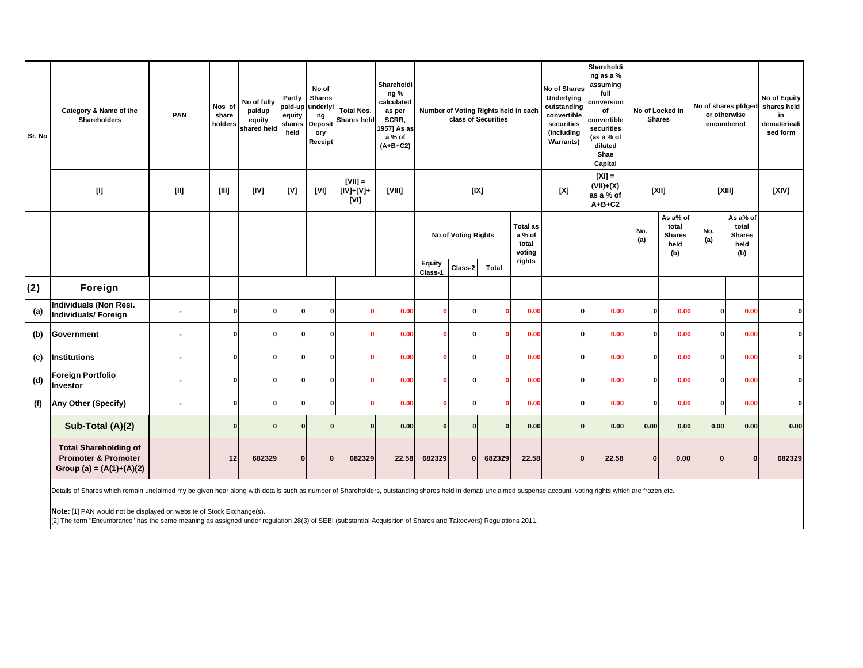| Sr. No | Category & Name of the<br>Shareholders                                                                                                                                                                                                                                                                                                                                                                                                                                                                                                                                                                                                                                                                                                                                                                                                                                              | PAN                      | Nos of<br>share<br>holders | No of fully<br>paidup<br>equity<br>shared held | Partly<br>paid-up<br>equity<br>shares<br>held | No of<br><b>Shares</b><br>underlyi<br>ng<br>Deposit<br>ory<br><b>Receipt</b> | <b>Total Nos.</b><br><b>Shares held</b> | Shareholdi<br>ng %<br>calculated<br>as per<br>SCRR,<br>1957] As as<br>a % of<br>$(A+B+C2)$ |                                                                            |          | Number of Voting Rights held in each<br>class of Securities |                                              | <b>No of Shares</b><br>Underlying<br>outstanding<br>convertible<br>securities<br>(including<br><b>Warrants)</b> | Shareholdi<br>ng as a %<br>assuming<br>full<br>conversion<br>of<br>convertible<br>securities<br>(as a % of<br>diluted<br>Shae<br>Capital | <b>Shares</b> | No of Locked in                                   |              | No of shares pidged<br>or otherwise<br>encumbered | No of Equity<br>shares held<br>in.<br>dematerieali<br>sed form |
|--------|-------------------------------------------------------------------------------------------------------------------------------------------------------------------------------------------------------------------------------------------------------------------------------------------------------------------------------------------------------------------------------------------------------------------------------------------------------------------------------------------------------------------------------------------------------------------------------------------------------------------------------------------------------------------------------------------------------------------------------------------------------------------------------------------------------------------------------------------------------------------------------------|--------------------------|----------------------------|------------------------------------------------|-----------------------------------------------|------------------------------------------------------------------------------|-----------------------------------------|--------------------------------------------------------------------------------------------|----------------------------------------------------------------------------|----------|-------------------------------------------------------------|----------------------------------------------|-----------------------------------------------------------------------------------------------------------------|------------------------------------------------------------------------------------------------------------------------------------------|---------------|---------------------------------------------------|--------------|---------------------------------------------------|----------------------------------------------------------------|
|        | $[1] % \centering \includegraphics[width=0.9\textwidth]{images/TrDiM-Architecture.png} % \caption{The first two different values of $S$ and $S$ are shown in the left, the first two different values of $S$ and $S$ are shown in the right, and the second two different values of $S$ are shown in the right, and the second two different values of $S$ are shown in the right, and the third two different values of $S$ are shown in the right, and the third two different values of $S$ are shown in the right, and the third two different values of $S$ are shown in the right, and the third two different values of $S$ are shown in the right, and the third two different values of $S$ are shown in the right, and the third two different values of $S$ are shown in the right, and the third two different values of $S$ are shown in the right, and the third two$ | $[11]$                   |                            | [IV]                                           | [V]                                           | [VI]                                                                         | $ V    =$<br>[IV]+[V]+<br>[VI]          | [VIII]                                                                                     |                                                                            |          | [IX]                                                        |                                              | [X]                                                                                                             | $[X] =$<br>$(VII)+(X)$<br>as a % of<br>$A+B+C2$                                                                                          | [XII]         |                                                   | [XIII]       |                                                   | [XIV]                                                          |
|        |                                                                                                                                                                                                                                                                                                                                                                                                                                                                                                                                                                                                                                                                                                                                                                                                                                                                                     |                          |                            |                                                |                                               |                                                                              |                                         |                                                                                            | <b>No of Voting Rights</b><br><b>Equity</b><br>Class-2<br>Total<br>Class-1 |          |                                                             | <b>Total as</b><br>a % of<br>total<br>voting |                                                                                                                 |                                                                                                                                          | No.<br>(a)    | As a% of<br>total<br><b>Shares</b><br>held<br>(b) | No.<br>(a)   | As a% of<br>total<br><b>Shares</b><br>held<br>(b) |                                                                |
|        |                                                                                                                                                                                                                                                                                                                                                                                                                                                                                                                                                                                                                                                                                                                                                                                                                                                                                     |                          |                            |                                                |                                               |                                                                              |                                         |                                                                                            |                                                                            |          | rights                                                      |                                              |                                                                                                                 |                                                                                                                                          |               |                                                   |              |                                                   |                                                                |
| (2)    | Foreign                                                                                                                                                                                                                                                                                                                                                                                                                                                                                                                                                                                                                                                                                                                                                                                                                                                                             |                          |                            |                                                |                                               |                                                                              |                                         |                                                                                            |                                                                            |          |                                                             |                                              |                                                                                                                 |                                                                                                                                          |               |                                                   |              |                                                   |                                                                |
| (a)    | <b>Individuals (Non Resi.</b><br>Individuals/Foreign                                                                                                                                                                                                                                                                                                                                                                                                                                                                                                                                                                                                                                                                                                                                                                                                                                |                          | $\Omega$                   | $\Omega$                                       | $\Omega$                                      | $\mathbf{0}$                                                                 |                                         | 0.00                                                                                       |                                                                            |          |                                                             | 0.00                                         | $\Omega$                                                                                                        | 0.00                                                                                                                                     | $\Omega$      | 0.00                                              | $\Omega$     | 0.00                                              | $\Omega$                                                       |
| (b)    | Government                                                                                                                                                                                                                                                                                                                                                                                                                                                                                                                                                                                                                                                                                                                                                                                                                                                                          | $\blacksquare$           | $\Omega$                   | $\Omega$                                       | $\Omega$                                      | 0                                                                            |                                         | 0.00                                                                                       |                                                                            | n        | $\Omega$                                                    | 0.00                                         | $\Omega$                                                                                                        | 0.00                                                                                                                                     | $\Omega$      | 0.00                                              | $\Omega$     | 0.00                                              | ΩI                                                             |
| (c)    | Institutions                                                                                                                                                                                                                                                                                                                                                                                                                                                                                                                                                                                                                                                                                                                                                                                                                                                                        | $\overline{\phantom{a}}$ | $\Omega$                   | $\mathbf{0}$                                   | 0                                             | $\mathbf{0}$                                                                 |                                         | 0.00                                                                                       |                                                                            | n        | $\mathbf{0}$                                                | 0.00                                         | $\Omega$                                                                                                        | 0.00                                                                                                                                     | $\Omega$      | 0.00                                              | $\Omega$     | 0.00                                              | $\mathbf{0}$                                                   |
| (d)    | <b>Foreign Portfolio</b><br>Investor                                                                                                                                                                                                                                                                                                                                                                                                                                                                                                                                                                                                                                                                                                                                                                                                                                                |                          | $\bf{0}$                   | $\Omega$                                       | 0                                             | $\mathbf{0}$                                                                 |                                         | 0.00                                                                                       |                                                                            | n        |                                                             | 0.00                                         | $\Omega$                                                                                                        | 0.00                                                                                                                                     | $\Omega$      | 0.00                                              | $\mathbf{0}$ | 0.00                                              | $\mathbf{0}$                                                   |
| (f)    | Any Other (Specify)                                                                                                                                                                                                                                                                                                                                                                                                                                                                                                                                                                                                                                                                                                                                                                                                                                                                 | $\blacksquare$           | $\Omega$                   | $\Omega$                                       | Û                                             | 0                                                                            |                                         | 0.00                                                                                       |                                                                            |          |                                                             | 0.00                                         | 0                                                                                                               | 0.00                                                                                                                                     | 0             | 0.00                                              | $\Omega$     | 0.00                                              | $\mathbf{0}$                                                   |
|        | Sub-Total (A)(2)                                                                                                                                                                                                                                                                                                                                                                                                                                                                                                                                                                                                                                                                                                                                                                                                                                                                    |                          | $\mathbf{0}$               | $\mathbf{0}$                                   |                                               | $\mathbf{0}$                                                                 |                                         | 0.00                                                                                       | $\Omega$                                                                   | $\Omega$ | $\Omega$                                                    | 0.00                                         | $\Omega$                                                                                                        | 0.00                                                                                                                                     | 0.00          | 0.00                                              | 0.00         | 0.00                                              | 0.00                                                           |
|        | <b>Total Shareholding of</b><br><b>Promoter &amp; Promoter</b><br>Group (a) = $(A(1)+(A)(2))$                                                                                                                                                                                                                                                                                                                                                                                                                                                                                                                                                                                                                                                                                                                                                                                       |                          | 12                         | 682329                                         | $\Omega$                                      | $\Omega$                                                                     | 682329                                  | 22.58                                                                                      | 682329                                                                     | $\Omega$ | 682329                                                      | 22.58                                        | $\Omega$                                                                                                        | 22.58                                                                                                                                    | $\Omega$      | 0.00                                              |              | n                                                 | 682329                                                         |
|        | Details of Shares which remain unclaimed my be given hear along with details such as number of Shareholders, outstanding shares held in demat/ unclaimed suspense account, voting rights which are frozen etc.                                                                                                                                                                                                                                                                                                                                                                                                                                                                                                                                                                                                                                                                      |                          |                            |                                                |                                               |                                                                              |                                         |                                                                                            |                                                                            |          |                                                             |                                              |                                                                                                                 |                                                                                                                                          |               |                                                   |              |                                                   |                                                                |
|        | Note: [1] PAN would not be displayed on website of Stock Exchange(s).<br>[2] The term "Encumbrance" has the same meaning as assigned under regulation 28(3) of SEBI (substantial Acquisition of Shares and Takeovers) Regulations 2011.                                                                                                                                                                                                                                                                                                                                                                                                                                                                                                                                                                                                                                             |                          |                            |                                                |                                               |                                                                              |                                         |                                                                                            |                                                                            |          |                                                             |                                              |                                                                                                                 |                                                                                                                                          |               |                                                   |              |                                                   |                                                                |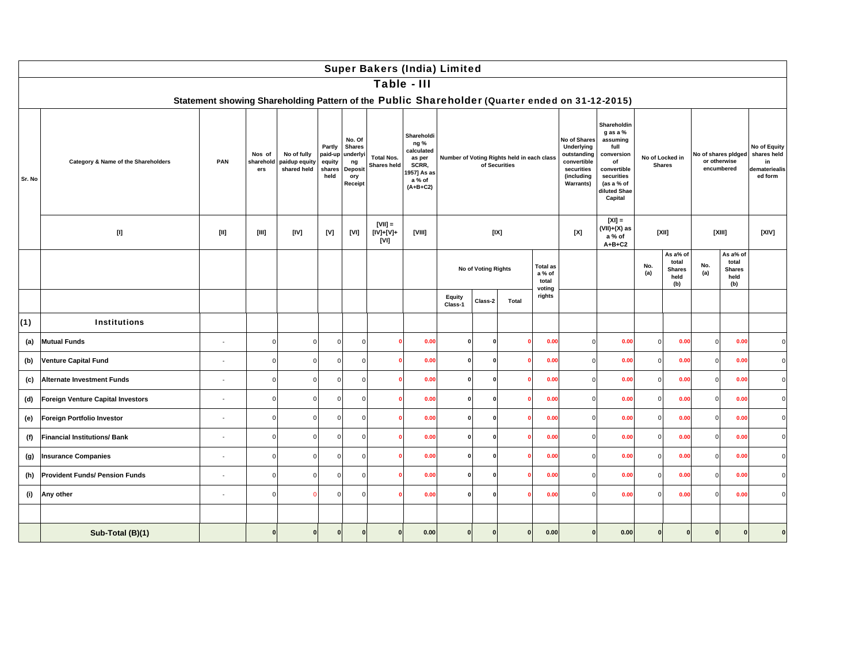|        |                                                                                                                                                                                                                                                                                                                                                                                                                                                                                                                                                                                                                                                             |                                                                                                       |                            |                                             |                                               |                                                                               | <b>Super Bakers (India) Limited</b> |                                                                                           |                   |                     |                                            |                                    |                                                                                                          |                                                                                                                                       |            |                                                   |            |                                                   |                                                               |
|--------|-------------------------------------------------------------------------------------------------------------------------------------------------------------------------------------------------------------------------------------------------------------------------------------------------------------------------------------------------------------------------------------------------------------------------------------------------------------------------------------------------------------------------------------------------------------------------------------------------------------------------------------------------------------|-------------------------------------------------------------------------------------------------------|----------------------------|---------------------------------------------|-----------------------------------------------|-------------------------------------------------------------------------------|-------------------------------------|-------------------------------------------------------------------------------------------|-------------------|---------------------|--------------------------------------------|------------------------------------|----------------------------------------------------------------------------------------------------------|---------------------------------------------------------------------------------------------------------------------------------------|------------|---------------------------------------------------|------------|---------------------------------------------------|---------------------------------------------------------------|
|        |                                                                                                                                                                                                                                                                                                                                                                                                                                                                                                                                                                                                                                                             |                                                                                                       |                            |                                             |                                               |                                                                               | Table - III                         |                                                                                           |                   |                     |                                            |                                    |                                                                                                          |                                                                                                                                       |            |                                                   |            |                                                   |                                                               |
| Sr. No | Category & Name of the Shareholders                                                                                                                                                                                                                                                                                                                                                                                                                                                                                                                                                                                                                         | Statement showing Shareholding Pattern of the Public Shareholder (Quarter ended on 31-12-2015)<br>PAN | Nos of<br>sharehold<br>ers | No of fully<br>paidup equity<br>shared held | Partly<br>paid-up<br>equity<br>shares<br>held | No. Of<br><b>Shares</b><br>underlyi<br>ng<br><b>Deposit</b><br>ory<br>Receipt | <b>Total Nos.</b><br>Shares held    | Shareholdi<br>ng %<br>calculated<br>as per<br>SCRR,<br>957] As as<br>a % of<br>$(A+B+C2)$ |                   | of Securities       | Number of Voting Rights held in each class |                                    | No of Shares<br>Underlying<br>outstanding<br>convertible<br>securities<br>(including<br><b>Warrants)</b> | Shareholdin<br>g as a %<br>assuming<br>full<br>conversion<br>of<br>convertible<br>securities<br>(as a % of<br>diluted Shae<br>Capital |            | No of Locked in<br><b>Shares</b>                  |            | No of shares pidged<br>or otherwise<br>encumbered | No of Equity<br>shares held<br>in<br>demateriealis<br>ed form |
|        | $[] \centering \includegraphics[width=0.47\textwidth]{Figures/PD1.png} \caption{The 3D (black) model for the 3D (black) model. The left is the 3D (black) model. The right is the 3D (black) model. The right is the 3D (black) model. The right is the 3D (black) model. The right is the 3D (black) model. The right is the 3D (black) model. The right is the 3D (black) model. The right is the 3D (black) model. The right is the 3D (black) model. The right is the 3D (black) model. The right is the 3D (black) model. The right is the 3D (black) model. The right is the 3D (black) model. The right is the 3D (black) model. The right is the 3$ | [11]                                                                                                  | [III]                      | [IV]                                        | [V]                                           | [VI]                                                                          | $[VII] =$<br>[IV]+[V]+<br>[VI]      | [VIII]                                                                                    |                   | [IX]                |                                            |                                    | [X]                                                                                                      | $[X] =$<br>(VII)+(X) as<br>a % of<br>$A+B+C2$                                                                                         |            | [XII]                                             |            | [XIII]                                            | [XIV]                                                         |
|        |                                                                                                                                                                                                                                                                                                                                                                                                                                                                                                                                                                                                                                                             |                                                                                                       |                            |                                             |                                               |                                                                               |                                     |                                                                                           |                   | No of Voting Rights |                                            | <b>Total as</b><br>a % of<br>total |                                                                                                          |                                                                                                                                       | No.<br>(a) | As a% of<br>total<br><b>Shares</b><br>held<br>(b) | No.<br>(a) | As a% of<br>total<br><b>Shares</b><br>held<br>(b) |                                                               |
|        |                                                                                                                                                                                                                                                                                                                                                                                                                                                                                                                                                                                                                                                             |                                                                                                       |                            |                                             |                                               |                                                                               |                                     |                                                                                           | Equity<br>Class-1 | Class-2             | Total                                      | voting<br>rights                   |                                                                                                          |                                                                                                                                       |            |                                                   |            |                                                   |                                                               |
| (1)    | <b>Institutions</b>                                                                                                                                                                                                                                                                                                                                                                                                                                                                                                                                                                                                                                         |                                                                                                       |                            |                                             |                                               |                                                                               |                                     |                                                                                           |                   |                     |                                            |                                    |                                                                                                          |                                                                                                                                       |            |                                                   |            |                                                   |                                                               |
| (a)    | <b>Mutual Funds</b>                                                                                                                                                                                                                                                                                                                                                                                                                                                                                                                                                                                                                                         |                                                                                                       | $\Omega$                   | $\Omega$                                    | $\Omega$                                      | $\Omega$                                                                      | $\mathbf{0}$                        | 0.00                                                                                      | $\Omega$          | ſ                   |                                            | 0.00                               | $\Omega$                                                                                                 | 0.00                                                                                                                                  | $\Omega$   | 0.00                                              | $\circ$    | 0.00                                              |                                                               |
| (b)    | <b>Venture Capital Fund</b>                                                                                                                                                                                                                                                                                                                                                                                                                                                                                                                                                                                                                                 |                                                                                                       | $\Omega$                   | $\Omega$                                    | $\Omega$                                      | $\Omega$                                                                      | $\mathbf{0}$                        | 0.00                                                                                      | 0                 |                     |                                            | 0.00                               |                                                                                                          | 0.00                                                                                                                                  | $\Omega$   | 0.00                                              | $\Omega$   | 0.00                                              |                                                               |
| (c)    | <b>Alternate Investment Funds</b>                                                                                                                                                                                                                                                                                                                                                                                                                                                                                                                                                                                                                           |                                                                                                       | $\Omega$                   | $\Omega$                                    | $\Omega$                                      | $\Omega$                                                                      | $\mathbf{0}$                        | 0.00                                                                                      | $\mathbf{0}$      |                     | n                                          | 0.00                               | $\Omega$                                                                                                 | 0.00                                                                                                                                  | $\Omega$   | 0.00                                              | $\Omega$   | 0.00                                              |                                                               |
| (d)    | Foreign Venture Capital Investors                                                                                                                                                                                                                                                                                                                                                                                                                                                                                                                                                                                                                           |                                                                                                       | $\Omega$                   | $\Omega$                                    | $\Omega$                                      | $\Omega$                                                                      | $\Omega$                            | 0.00                                                                                      | $\Omega$          |                     |                                            | 0.00                               | $\Omega$                                                                                                 | 0.00                                                                                                                                  | $\Omega$   | 0.00                                              | $\Omega$   | 0.00                                              |                                                               |
| (e)    | Foreign Portfolio Investor                                                                                                                                                                                                                                                                                                                                                                                                                                                                                                                                                                                                                                  |                                                                                                       | $\Omega$                   | $\Omega$                                    | $\Omega$                                      | $\Omega$                                                                      | $\mathbf{0}$                        | 0.00                                                                                      | 0                 |                     |                                            | 0.00                               | $\Omega$                                                                                                 | 0.00                                                                                                                                  | $\Omega$   | 0.00                                              | $\Omega$   | 0.00                                              |                                                               |
| (f)    | <b>Financial Institutions/Bank</b>                                                                                                                                                                                                                                                                                                                                                                                                                                                                                                                                                                                                                          | $\sim$                                                                                                | $\Omega$                   | $\Omega$                                    | $\Omega$                                      | $\Omega$                                                                      |                                     | 0.00                                                                                      | $\Omega$          |                     |                                            | 0.00                               | $\Omega$                                                                                                 | 0.00                                                                                                                                  | $\Omega$   | 0.00                                              | $\Omega$   | 0.00                                              |                                                               |
| (g)    | <b>Insurance Companies</b>                                                                                                                                                                                                                                                                                                                                                                                                                                                                                                                                                                                                                                  | $\sim$                                                                                                | $\Omega$                   | $\Omega$                                    | $\Omega$                                      | $\Omega$                                                                      |                                     | 0.00                                                                                      | O                 |                     |                                            | 0.00                               | $\Omega$                                                                                                 | 0.00                                                                                                                                  | $\Omega$   | 0.00                                              | $\Omega$   | 0.00                                              |                                                               |
| (h)    | <b>Provident Funds/ Pension Funds</b>                                                                                                                                                                                                                                                                                                                                                                                                                                                                                                                                                                                                                       |                                                                                                       | $\Omega$                   | $\Omega$                                    | $\Omega$                                      | $\Omega$                                                                      |                                     | 0.00                                                                                      | $\Omega$          |                     |                                            | 0.00                               | $\Omega$                                                                                                 | 0.00                                                                                                                                  | $\Omega$   | 0.00                                              | $\epsilon$ | 0.00                                              |                                                               |
| (i)    | Any other                                                                                                                                                                                                                                                                                                                                                                                                                                                                                                                                                                                                                                                   | $\sim$                                                                                                | $\Omega$                   |                                             | O                                             | $\Omega$                                                                      |                                     | 0.00                                                                                      | O                 |                     |                                            | 0.00                               |                                                                                                          | 0.00                                                                                                                                  |            | 0.00                                              | $\epsilon$ | 0.00                                              |                                                               |
|        | Sub-Total (B)(1)                                                                                                                                                                                                                                                                                                                                                                                                                                                                                                                                                                                                                                            |                                                                                                       |                            | $\Omega$                                    |                                               | $\mathbf{0}$                                                                  | $\Omega$                            | 0.00                                                                                      |                   | $\Omega$            |                                            | 0.00                               |                                                                                                          | 0.00                                                                                                                                  | $\Omega$   | $\mathbf{0}$                                      | $\Omega$   | $\Omega$                                          |                                                               |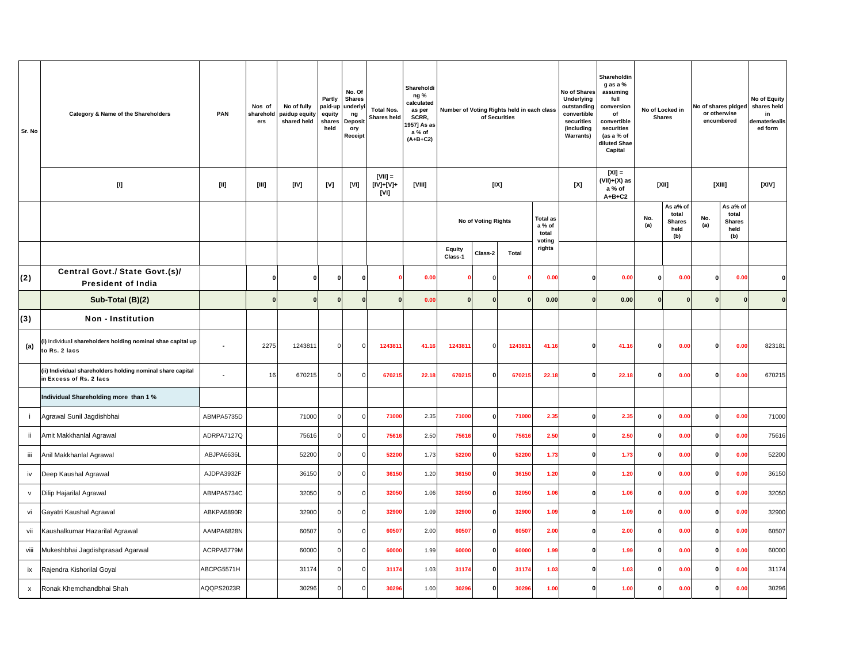| Sr. No       | Category & Name of the Shareholders                                                   | PAN        | Nos of<br>sharehold<br>ers                                                                                                                                                                                                                                                                                                                                                                                                                                                                                                                                                                        | No of fully<br>paidup equity<br>shared held | Partly<br>paid-up<br>equity<br>shares<br>held | No. Of<br><b>Shares</b><br>underlyi<br>ng<br><b>Deposit</b><br>ory<br>Receipt | <b>Total Nos.</b><br><b>Shares held</b> | Shareholdi<br>ng %<br>calculated<br>as per<br>SCRR,<br>1957] As as<br>a % of<br>$(A+B+C2)$ |                   |                     | Number of Voting Rights held in each class<br>of Securities |                                              | No of Shares<br><b>Underlying</b><br>outstanding<br>convertible<br>securities<br>(including<br><b>Warrants)</b> | Shareholdin<br>g as a %<br>assuming<br>full<br>conversion<br>of<br>convertible<br>securities<br>(as a % of<br>diluted Shae<br>Capital |              | No of Locked in<br><b>Shares</b>                  | No of shares pidged<br>or otherwise<br>encumbered |                                                   | No of Equity<br>shares held<br>in<br>lemateriealis<br>ed form |
|--------------|---------------------------------------------------------------------------------------|------------|---------------------------------------------------------------------------------------------------------------------------------------------------------------------------------------------------------------------------------------------------------------------------------------------------------------------------------------------------------------------------------------------------------------------------------------------------------------------------------------------------------------------------------------------------------------------------------------------------|---------------------------------------------|-----------------------------------------------|-------------------------------------------------------------------------------|-----------------------------------------|--------------------------------------------------------------------------------------------|-------------------|---------------------|-------------------------------------------------------------|----------------------------------------------|-----------------------------------------------------------------------------------------------------------------|---------------------------------------------------------------------------------------------------------------------------------------|--------------|---------------------------------------------------|---------------------------------------------------|---------------------------------------------------|---------------------------------------------------------------|
|              | $[1]$                                                                                 | $[1]$      | $[III] \centering% \subfloat[\centering]{{\includegraphics[width=0.28\textwidth]{figs-pr2.png}}% \qquad \subfloat[\centering]{{\includegraphics[width=0.28\textwidth]{figs-pr2.png}}% \qquad \subfloat[\centering]{{\includegraphics[width=0.28\textwidth]{figs-pr2.png}}% \qquad \subfloat[\centering]{{\includegraphics[width=0.28\textwidth]{figs-pr2.png}}% \qquad \subfloat[\centering]{{\includegraphics[width=0.28\textwidth]{figs-pr2.png}}% \qquad \subfloat[\centering]{{\includegraphics[width=0.28\textwidth]{figs-pr2.png}}% \qquad \subfloat[\centering]{{\includegraphics[width=0$ | [IV]                                        | [V]                                           | [VI]                                                                          | $[VII] =$<br>[IV]+[V]+<br>[VI]          | [VIII]                                                                                     |                   |                     | [IX]                                                        |                                              | [X]                                                                                                             | $[X] =$<br>(VII)+(X) as<br>a % of<br>$A+B+C2$                                                                                         |              | [XII]                                             |                                                   | [XIII]                                            | [X V]                                                         |
|              |                                                                                       |            |                                                                                                                                                                                                                                                                                                                                                                                                                                                                                                                                                                                                   |                                             |                                               |                                                                               |                                         |                                                                                            |                   | No of Voting Rights |                                                             | <b>Total as</b><br>a % of<br>total<br>voting |                                                                                                                 |                                                                                                                                       | No.<br>(a)   | As a% of<br>total<br><b>Shares</b><br>held<br>(b) | No.<br>(a)                                        | As a% of<br>total<br><b>Shares</b><br>held<br>(b) |                                                               |
|              |                                                                                       |            |                                                                                                                                                                                                                                                                                                                                                                                                                                                                                                                                                                                                   |                                             |                                               |                                                                               |                                         |                                                                                            | Equity<br>Class-1 | Class-2             | Total                                                       | rights                                       |                                                                                                                 |                                                                                                                                       |              |                                                   |                                                   |                                                   |                                                               |
| (2)          | Central Govt./ State Govt.(s)/<br><b>President of India</b>                           | $\Omega$   |                                                                                                                                                                                                                                                                                                                                                                                                                                                                                                                                                                                                   | $\Omega$                                    | $\Omega$                                      | $\mathbf{0}$                                                                  |                                         | 0.00                                                                                       |                   | C                   |                                                             | 0.00                                         | $\Omega$                                                                                                        | 0.00                                                                                                                                  | $\Omega$     | 0.00                                              | $\Omega$                                          | 0.00                                              | $\Omega$                                                      |
|              | Sub-Total (B)(2)                                                                      |            | $\Omega$                                                                                                                                                                                                                                                                                                                                                                                                                                                                                                                                                                                          |                                             | $\Omega$                                      | $\mathbf{0}$                                                                  | $\Omega$                                | 0.00                                                                                       |                   | $\sqrt{2}$          | $\Omega$                                                    | 0.00                                         |                                                                                                                 | 0.00                                                                                                                                  |              | $\mathbf{0}$                                      | $\Omega$                                          |                                                   | $\Omega$                                                      |
| (3)          | <b>Non - Institution</b>                                                              |            |                                                                                                                                                                                                                                                                                                                                                                                                                                                                                                                                                                                                   |                                             |                                               |                                                                               |                                         |                                                                                            |                   |                     |                                                             |                                              |                                                                                                                 |                                                                                                                                       |              |                                                   |                                                   |                                                   |                                                               |
| (a)          | (i) Individual shareholders holding nominal shae capital up<br>to Rs. 2 lacs          | ÷,         | 2275                                                                                                                                                                                                                                                                                                                                                                                                                                                                                                                                                                                              | 1243811                                     | $\overline{0}$                                | $\mathbf 0$                                                                   | 1243811                                 | 41.16                                                                                      | 1243811           | $\Omega$            | 1243811                                                     | 41.16                                        | $\mathbf{0}$                                                                                                    | 41.16                                                                                                                                 | $\bf{0}$     | 0.00                                              | 0                                                 | 0.00                                              | 823181                                                        |
|              | (ii) Individual shareholders holding nominal share capital<br>in Excess of Rs. 2 lacs | ÷,         | 16                                                                                                                                                                                                                                                                                                                                                                                                                                                                                                                                                                                                | 670215                                      | $\overline{0}$                                | $\mathbf 0$                                                                   | 670215                                  | 22.18                                                                                      | 670215            | $\Omega$            | 670215                                                      | 22.18                                        | $\mathbf{0}$                                                                                                    | 22.18                                                                                                                                 | $\Omega$     | 0.00                                              | $\Omega$                                          | 0.00                                              | 670215                                                        |
|              | Individual Shareholding more than 1 %                                                 |            |                                                                                                                                                                                                                                                                                                                                                                                                                                                                                                                                                                                                   |                                             |                                               |                                                                               |                                         |                                                                                            |                   |                     |                                                             |                                              |                                                                                                                 |                                                                                                                                       |              |                                                   |                                                   |                                                   |                                                               |
|              | Agrawal Sunil Jagdishbhai                                                             | ABMPA5735D |                                                                                                                                                                                                                                                                                                                                                                                                                                                                                                                                                                                                   | 71000                                       | $\Omega$                                      | $\Omega$                                                                      | 71000                                   | 2.35                                                                                       | 71000             | $\mathbf{0}$        | 71000                                                       | 2.35                                         | $\Omega$                                                                                                        | 2.35                                                                                                                                  | $\Omega$     | 0.00                                              | O                                                 | 0.00                                              | 71000                                                         |
| ji.          | Amit Makkhanlal Agrawal                                                               | ADRPA7127Q |                                                                                                                                                                                                                                                                                                                                                                                                                                                                                                                                                                                                   | 75616                                       | $\mathbf 0$                                   | $\mathbf 0$                                                                   | 75616                                   | 2.50                                                                                       | 75616             | 0                   | 75616                                                       | 2.50                                         | 0                                                                                                               | 2.50                                                                                                                                  | $\bf{0}$     | 0.00                                              | 0                                                 | 0.00                                              | 75616                                                         |
| iii          | Anil Makkhanlal Agrawal                                                               | ABJPA6636L |                                                                                                                                                                                                                                                                                                                                                                                                                                                                                                                                                                                                   | 52200                                       | $\overline{0}$                                | $\mathbf 0$                                                                   | 52200                                   | 1.73                                                                                       | 52200             | $\mathbf{0}$        | 52200                                                       | 1.73                                         | $\mathbf 0$                                                                                                     | 1.73                                                                                                                                  | 0            | 0.00                                              | $\Omega$                                          | 0.00                                              | 52200                                                         |
| iv           | Deep Kaushal Agrawal                                                                  | AJDPA3932F |                                                                                                                                                                                                                                                                                                                                                                                                                                                                                                                                                                                                   | 36150                                       | $\Omega$                                      | $\Omega$                                                                      | 36150                                   | 1.20                                                                                       | 36150             | $\mathbf{0}$        | 36150                                                       | 1.20                                         | 0                                                                                                               | 1.20                                                                                                                                  | $\mathbf{0}$ | 0.00                                              | O                                                 | 0.00                                              | 36150                                                         |
| $\mathsf{V}$ | Dilip Hajarilal Agrawal                                                               | ABMPA5734C |                                                                                                                                                                                                                                                                                                                                                                                                                                                                                                                                                                                                   | 32050                                       | $\Omega$                                      | $\mathbf 0$                                                                   | 32050                                   | 1.06                                                                                       | 32050             | $\mathbf{0}$        | 32050                                                       | 1.06                                         | 0                                                                                                               | 1.06                                                                                                                                  | $\mathbf{0}$ | 0.00                                              | 0                                                 | 0.00                                              | 32050                                                         |
| vi           | Gayatri Kaushal Agrawal                                                               | ABKPA6890R |                                                                                                                                                                                                                                                                                                                                                                                                                                                                                                                                                                                                   | 32900                                       | $\circ$                                       | $\mathbf 0$                                                                   | 32900                                   | 1.09                                                                                       | 32900             | $\mathbf{0}$        | 32900                                                       | 1.09                                         | $\mathbf 0$                                                                                                     | 1.09                                                                                                                                  | 0            | 0.00                                              | 0                                                 | 0.00                                              | 32900                                                         |
| vii          | Kaushalkumar Hazarilal Agrawal                                                        | AAMPA6828N |                                                                                                                                                                                                                                                                                                                                                                                                                                                                                                                                                                                                   | 60507                                       | $\Omega$                                      | $\mathbf 0$                                                                   | 60507                                   | 2.00                                                                                       | 60507             | $\mathbf{0}$        | 60507                                                       | 2.00                                         | 0                                                                                                               | 2.00                                                                                                                                  | $\mathbf{0}$ | 0.00                                              | 0                                                 | 0.00                                              | 60507                                                         |
| viii         | Mukeshbhai Jagdishprasad Agarwal                                                      | ACRPA5779M | 60000                                                                                                                                                                                                                                                                                                                                                                                                                                                                                                                                                                                             |                                             | $\mathbf 0$                                   | $\mathbf 0$                                                                   | 60000                                   | 1.99                                                                                       | 60000             | $\mathbf{0}$        | 60000                                                       | 1.99                                         | 0                                                                                                               | 1.99                                                                                                                                  | $\bf{0}$     | 0.00                                              | 0                                                 | 0.00                                              | 60000                                                         |
| ix           | Rajendra Kishorilal Goyal                                                             | ABCPG5571H |                                                                                                                                                                                                                                                                                                                                                                                                                                                                                                                                                                                                   | 31174                                       | $\overline{0}$                                | $\mathsf{o}$                                                                  | 31174                                   | 1.03                                                                                       | 31174             | $\mathbf{0}$        | 31174                                                       | 1.03                                         | $\mathbf{0}$                                                                                                    | 1.03                                                                                                                                  | $\mathbf{0}$ | 0.00                                              | $\Omega$                                          | 0.00                                              | 31174                                                         |
| x            | Ronak Khemchandbhai Shah                                                              | AQQPS2023R |                                                                                                                                                                                                                                                                                                                                                                                                                                                                                                                                                                                                   | 30296                                       | $\Omega$                                      | $\overline{0}$                                                                | 30296                                   | 1.00                                                                                       | 30296             | $\Omega$            | 30296                                                       | 1.00                                         | O                                                                                                               | 1.00                                                                                                                                  | $\Omega$     | 0.00                                              |                                                   | 0.00                                              | 30296                                                         |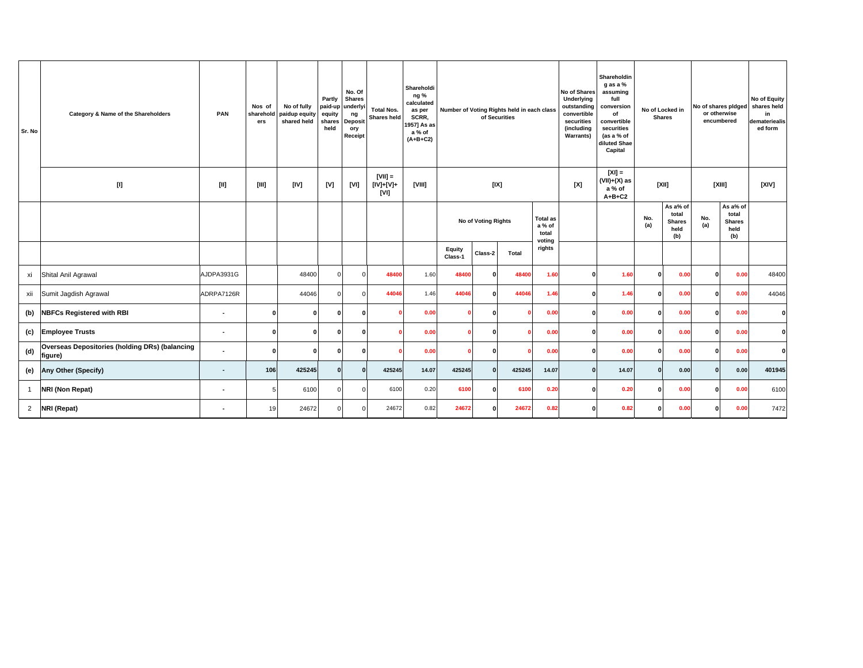| Sr. No         | Category & Name of the Shareholders                                                                                                                                                                                                                                                                                                                                                                                                                                                                                                                                                                                                                                                                                                                                                                                                                                            | PAN                      | Nos of<br>sharehold<br>ers | No of fully<br>paidup equity<br>shared held | Partly<br>equity<br>shares<br>held | No. Of<br><b>Shares</b><br>paid-up underlyi<br>ng<br><b>Deposit</b><br>ory<br>Receipt | <b>Total Nos.</b><br>Shares held | Shareholdi<br>ng%<br>calculated<br>as per<br>SCRR.<br>1957] As as<br>a % of<br>$(A+B+C2)$ |                                       |              | Number of Voting Rights held in each class<br>of Securities |        | No of Shares<br>Underlying<br>outstanding<br>convertible<br>securities<br>(including<br><b>Warrants)</b> | Shareholdin<br>g as a %<br>assuming<br>full<br>conversion<br>of<br>convertible<br>securities<br>(as a % of<br>diluted Shae<br>Capital |                                                   | No of Locked in<br><b>Shares</b> |                                                   | No of shares pidged<br>or otherwise<br>encumbered | No of Equity<br>shares held<br>in<br>demateriealis<br>ed form |
|----------------|--------------------------------------------------------------------------------------------------------------------------------------------------------------------------------------------------------------------------------------------------------------------------------------------------------------------------------------------------------------------------------------------------------------------------------------------------------------------------------------------------------------------------------------------------------------------------------------------------------------------------------------------------------------------------------------------------------------------------------------------------------------------------------------------------------------------------------------------------------------------------------|--------------------------|----------------------------|---------------------------------------------|------------------------------------|---------------------------------------------------------------------------------------|----------------------------------|-------------------------------------------------------------------------------------------|---------------------------------------|--------------|-------------------------------------------------------------|--------|----------------------------------------------------------------------------------------------------------|---------------------------------------------------------------------------------------------------------------------------------------|---------------------------------------------------|----------------------------------|---------------------------------------------------|---------------------------------------------------|---------------------------------------------------------------|
|                | $[] \centering \includegraphics[width=0.47\textwidth]{Figures/PD1.png} \caption{The 3D (black) model for the 3D (black) model. The left side is the same time. The right side is the same time. The right side is the same time. The right side is the same time. The right side is the same time. The right side is the same time. The right side is the same time. The right side is the same time. The right side is the same time. The right side is the same time. The right side is the same time. The right side is the same time. The right side is the same time. The right side is the same time. The right side is the same time. The right side is the same time. The right side is the same time. The right side is the same time. The right side is the same time. The right side is the same time. The right side is the same time. The right side is the same$ | $[11]$                   | [III]                      | [IV]                                        | [V]                                | [VI]                                                                                  | $ VII  =$<br>[IV]+[V]+<br>[VI]   | [VIII]                                                                                    | [IX]<br>No of Voting Rights<br>a % of |              |                                                             | [X]    | $[X] =$<br>$(VII)+(X)$ as<br>a % of<br>$A+B+C2$                                                          |                                                                                                                                       | [XII]                                             |                                  | [XIII]                                            | [XIV]                                             |                                                               |
|                |                                                                                                                                                                                                                                                                                                                                                                                                                                                                                                                                                                                                                                                                                                                                                                                                                                                                                |                          |                            |                                             |                                    |                                                                                       |                                  |                                                                                           | Equity<br>Class-2<br>Total            |              | <b>Total as</b><br>total<br>voting                          |        |                                                                                                          | No.<br>(a)                                                                                                                            | As a% of<br>total<br><b>Shares</b><br>held<br>(b) | No.<br>(a)                       | As a% of<br>total<br><b>Shares</b><br>held<br>(b) |                                                   |                                                               |
|                |                                                                                                                                                                                                                                                                                                                                                                                                                                                                                                                                                                                                                                                                                                                                                                                                                                                                                |                          |                            |                                             |                                    |                                                                                       |                                  |                                                                                           | Class-1                               |              |                                                             | rights |                                                                                                          |                                                                                                                                       |                                                   |                                  |                                                   |                                                   |                                                               |
| xi             | Shital Anil Agrawal                                                                                                                                                                                                                                                                                                                                                                                                                                                                                                                                                                                                                                                                                                                                                                                                                                                            | AJDPA3931G               |                            | 48400                                       | $\Omega$                           | $\Omega$                                                                              | 48400                            | 1.60                                                                                      | 48400                                 | 0            | 48400                                                       | 1.60   | $\mathbf{0}$                                                                                             | 1.60                                                                                                                                  | O                                                 | 0.00                             | O                                                 | 0.00                                              | 48400                                                         |
| xii            | Sumit Jagdish Agrawal                                                                                                                                                                                                                                                                                                                                                                                                                                                                                                                                                                                                                                                                                                                                                                                                                                                          | ADRPA7126R               |                            | 44046                                       | $\Omega$                           | $\Omega$                                                                              | 44046                            | 1.46                                                                                      | 44046                                 | $\mathbf{0}$ | 44046                                                       | 1.46   | $\mathbf{0}$                                                                                             | 1.46                                                                                                                                  | Û                                                 | 0.00                             | n                                                 | 0.00                                              | 44046                                                         |
| (b)            | <b>NBFCs Registered with RBI</b>                                                                                                                                                                                                                                                                                                                                                                                                                                                                                                                                                                                                                                                                                                                                                                                                                                               | $\overline{\phantom{a}}$ | $\Omega$                   | 0                                           | $\Omega$                           | $\Omega$                                                                              |                                  | 0.00                                                                                      |                                       | 0            |                                                             | 0.00   | $\mathbf{0}$                                                                                             | 0.00                                                                                                                                  | $\Omega$                                          | 0.00                             | n                                                 | 0.00                                              | $\mathbf{0}$                                                  |
| (c)            | <b>Employee Trusts</b>                                                                                                                                                                                                                                                                                                                                                                                                                                                                                                                                                                                                                                                                                                                                                                                                                                                         | $\blacksquare$           | O                          | <sup>0</sup>                                | $\Omega$                           | $\Omega$                                                                              |                                  | 0.00                                                                                      |                                       | $\Omega$     |                                                             | 0.00   | $\mathbf{0}$                                                                                             | 0.00                                                                                                                                  | O                                                 | 0.00                             | <sup>0</sup>                                      | 0.00                                              | $\Omega$                                                      |
| (d)            | Overseas Depositories (holding DRs) (balancing<br>figure)                                                                                                                                                                                                                                                                                                                                                                                                                                                                                                                                                                                                                                                                                                                                                                                                                      | $\overline{\phantom{a}}$ | n                          | <sup>0</sup>                                | $\Omega$                           | n                                                                                     |                                  | 0.00                                                                                      |                                       | 0            |                                                             | 0.00   | $\mathbf{0}$                                                                                             | 0.00                                                                                                                                  | Û                                                 | 0.00                             | n                                                 | 0.00                                              | $\mathbf{0}$                                                  |
| (e)            | <b>Any Other (Specify)</b>                                                                                                                                                                                                                                                                                                                                                                                                                                                                                                                                                                                                                                                                                                                                                                                                                                                     |                          | 106                        | 425245                                      | $\Omega$                           | $\Omega$                                                                              | 425245                           | 14.07                                                                                     | 425245                                | 0            | 425245                                                      | 14.07  | $\mathbf{0}$                                                                                             | 14.07                                                                                                                                 | $\mathbf{0}$                                      | 0.00                             | $\Omega$                                          | 0.00                                              | 401945                                                        |
| $\mathbf{1}$   | NRI (Non Repat)                                                                                                                                                                                                                                                                                                                                                                                                                                                                                                                                                                                                                                                                                                                                                                                                                                                                | $\blacksquare$           | 5                          | 6100                                        | $\Omega$                           | $\Omega$                                                                              | 6100                             | 0.20                                                                                      | 6100                                  | $\mathbf{0}$ | 6100                                                        | 0.20   | $\mathbf{0}$                                                                                             | 0.20                                                                                                                                  | O                                                 | 0.00                             | <sup>0</sup>                                      | 0.00                                              | 6100                                                          |
| $\overline{2}$ | NRI (Repat)                                                                                                                                                                                                                                                                                                                                                                                                                                                                                                                                                                                                                                                                                                                                                                                                                                                                    | $\blacksquare$           | 19                         | 24672                                       | $\Omega$                           | $\Omega$                                                                              | 24672                            | 0.82                                                                                      | 24672                                 | 0            | 24672                                                       | 0.82   | $\bf{0}$                                                                                                 | 0.82                                                                                                                                  | O                                                 | 0.00                             | O                                                 | 0.00                                              | 7472                                                          |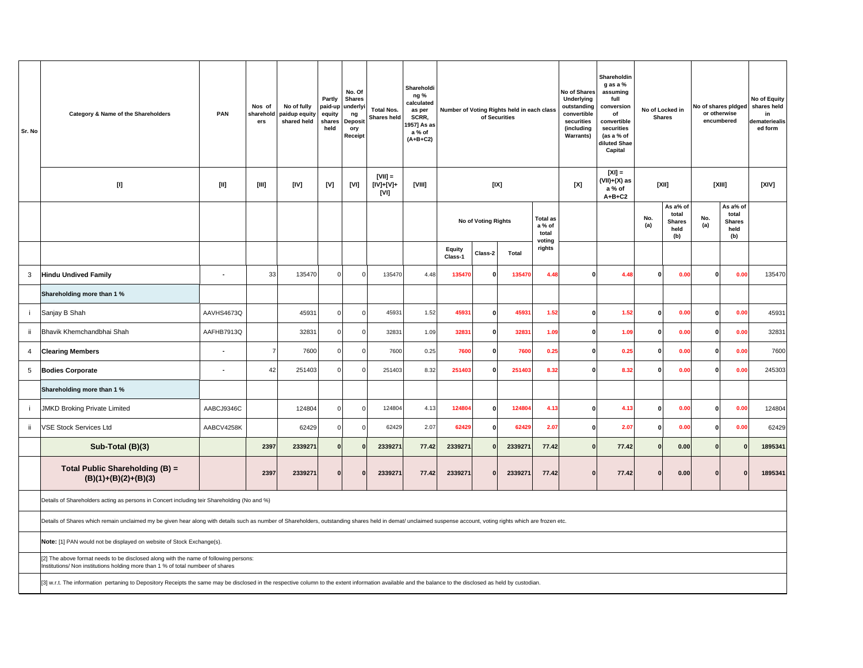| Sr. No         | Category & Name of the Shareholders                                                                                                                                                                                                                                                                                                                                                                                                                                                               | PAN            | Nos of<br>sharehold<br>ers | No of fully<br>paidup equity<br>shared held | Partly<br>paid-up<br>equity<br>shares<br>held | No. Of<br><b>Shares</b><br>underlyi<br>ng<br>Deposit<br>ory<br>Receipt | <b>Total Nos.</b><br>Shares held | Shareholdi<br>ng %<br>calculated<br>as per<br>SCRR,<br>1957] As as<br>a % of<br>$(A+B+C2)$ |                   |                     | Number of Voting Rights held in each class<br>of Securities |                                    | No of Shares<br>Underlying<br>outstanding<br>convertible<br>securities<br>(including<br><b>Warrants)</b> | Shareholdin<br>g as a %<br>assuming<br>full<br>conversion<br>of<br>convertible<br>securities<br>(as a % of<br>diluted Shae<br>Capital |              | No of Locked in<br><b>Shares</b>                  | or otherwise<br>encumbered | No of shares pidged                               | No of Equity<br>shares held<br>in<br>demateriealis<br>ed form |
|----------------|---------------------------------------------------------------------------------------------------------------------------------------------------------------------------------------------------------------------------------------------------------------------------------------------------------------------------------------------------------------------------------------------------------------------------------------------------------------------------------------------------|----------------|----------------------------|---------------------------------------------|-----------------------------------------------|------------------------------------------------------------------------|----------------------------------|--------------------------------------------------------------------------------------------|-------------------|---------------------|-------------------------------------------------------------|------------------------------------|----------------------------------------------------------------------------------------------------------|---------------------------------------------------------------------------------------------------------------------------------------|--------------|---------------------------------------------------|----------------------------|---------------------------------------------------|---------------------------------------------------------------|
|                | $[1] % \centering \includegraphics[width=0.9\textwidth]{images/TrDiM-Architecture.png} % \caption{The first two different values of $d \sim \tfrac{1}{\sqrt{2}}$ and $d \sim \tfrac{1}{\sqrt{2}}$ and $d \sim \tfrac{1}{\sqrt{2}}$ for $d \sim \tfrac{1}{\sqrt{2}}$ for $d \sim \tfrac{1}{\sqrt{2}}$ for $d \sim \tfrac{1}{\sqrt{2}}$ for $d \sim \tfrac{1}{\sqrt{2}}$ for $d \sim \tfrac{1}{\sqrt{2}}$ for $d \sim \tfrac{1}{\sqrt{2}}$ for $d \sim \tfrac{1}{\sqrt{2}}$ for $d \sim \tfrac{1}{$ | [II]           | [111]                      | [IV]                                        | [V]                                           | [VI]                                                                   | $[VII] =$<br>[IV]+[V]+<br>[VI]   | [VIII]                                                                                     |                   |                     | [IX]                                                        |                                    | [X]                                                                                                      | $ X  =$<br>(VII)+(X) as<br>a % of<br>$A+B+C2$                                                                                         |              | [XII]                                             |                            | [XIII]                                            | [XIV]                                                         |
|                |                                                                                                                                                                                                                                                                                                                                                                                                                                                                                                   |                |                            |                                             |                                               |                                                                        |                                  |                                                                                            |                   | No of Voting Rights |                                                             | <b>Total as</b><br>a % of<br>total |                                                                                                          |                                                                                                                                       | No.<br>(a)   | As a% of<br>total<br><b>Shares</b><br>held<br>(b) | No.<br>(a)                 | As a% of<br>total<br><b>Shares</b><br>held<br>(b) |                                                               |
|                |                                                                                                                                                                                                                                                                                                                                                                                                                                                                                                   |                |                            |                                             |                                               |                                                                        |                                  |                                                                                            | Equity<br>Class-1 | Class-2             | Total                                                       | voting<br>rights                   |                                                                                                          |                                                                                                                                       |              |                                                   |                            |                                                   |                                                               |
| 3              | <b>Hindu Undived Family</b>                                                                                                                                                                                                                                                                                                                                                                                                                                                                       | $\overline{a}$ | 33                         | 135470                                      | $\Omega$                                      | $\Omega$                                                               | 135470                           | 4.48                                                                                       | 135470            | O                   | 135470                                                      | 4.48                               | $\Omega$                                                                                                 | 4.48                                                                                                                                  | $\Omega$     | 0.00                                              | $\Omega$                   | 0.00                                              | 135470                                                        |
|                | Shareholding more than 1 %                                                                                                                                                                                                                                                                                                                                                                                                                                                                        |                |                            |                                             |                                               |                                                                        |                                  |                                                                                            |                   |                     |                                                             |                                    |                                                                                                          |                                                                                                                                       |              |                                                   |                            |                                                   |                                                               |
| -i             | Sanjay B Shah                                                                                                                                                                                                                                                                                                                                                                                                                                                                                     | AAVHS4673Q     |                            | 45931                                       | $\mathbf 0$                                   | $\mathbf 0$                                                            | 45931                            | 1.52                                                                                       | 45931             | $\mathbf 0$         | 45931                                                       | 1.52                               | O                                                                                                        | 1.52                                                                                                                                  | $\mathbf 0$  | 0.00                                              | $\Omega$                   | 0.00                                              | 45931                                                         |
| ii.            | Bhavik Khemchandbhai Shah                                                                                                                                                                                                                                                                                                                                                                                                                                                                         | AAFHB7913Q     |                            | 32831                                       | $\Omega$                                      | $\mathbf 0$                                                            | 32831                            | 1.09                                                                                       | 32831             | $\mathbf{0}$        | 32831                                                       | 1.09                               | $\mathbf{0}$                                                                                             | 1.09                                                                                                                                  | $\mathbf{0}$ | 0.00                                              | $\Omega$                   | 0.00                                              | 32831                                                         |
| $\overline{4}$ | <b>Clearing Members</b>                                                                                                                                                                                                                                                                                                                                                                                                                                                                           |                | $\overline{7}$             | 7600                                        | $\Omega$                                      | $\mathbf 0$                                                            | 7600                             | 0.25                                                                                       | 7600              | $\Omega$            | 7600                                                        | 0.25                               | $\mathbf{0}$                                                                                             | 0.25                                                                                                                                  | $\mathbf{0}$ | 0.00                                              | $\Omega$                   | 0.00                                              | 7600                                                          |
| 5              | <b>Bodies Corporate</b>                                                                                                                                                                                                                                                                                                                                                                                                                                                                           | ÷              | 42                         | 251403                                      | $\Omega$                                      | $\Omega$                                                               | 251403                           | 8.32                                                                                       | 251403            | 0                   | 251403                                                      | 8.32                               | $\mathbf{0}$                                                                                             | 8.32                                                                                                                                  | $\mathbf{0}$ | 0.00                                              | $\mathbf{0}$               | 0.00                                              | 245303                                                        |
|                | Shareholding more than 1 %                                                                                                                                                                                                                                                                                                                                                                                                                                                                        |                |                            |                                             |                                               |                                                                        |                                  |                                                                                            |                   |                     |                                                             |                                    |                                                                                                          |                                                                                                                                       |              |                                                   |                            |                                                   |                                                               |
| Ť              | <b>JMKD Broking Private Limited</b>                                                                                                                                                                                                                                                                                                                                                                                                                                                               | AABCJ9346C     |                            | 124804                                      | $\Omega$                                      | $\mathbf 0$                                                            | 124804                           | 4.13                                                                                       | 124804            | $\mathbf{0}$        | 124804                                                      | 4.13                               | $\mathbf{0}$                                                                                             | 4.13                                                                                                                                  | $\mathbf{0}$ | 0.00                                              | $\Omega$                   | 0.00                                              | 124804                                                        |
| ii.            | <b>VSE Stock Services Ltd</b>                                                                                                                                                                                                                                                                                                                                                                                                                                                                     | AABCV4258K     |                            | 62429                                       | $\mathbf 0$                                   | $\mathbf 0$                                                            | 62429                            | 2.07                                                                                       | 62429             | $\mathbf{0}$        | 62429                                                       | 2.07                               | $\mathbf{0}$                                                                                             | 2.07                                                                                                                                  | $\mathbf 0$  | 0.00                                              | $\Omega$                   | 0.00                                              | 62429                                                         |
|                | Sub-Total (B)(3)                                                                                                                                                                                                                                                                                                                                                                                                                                                                                  |                | 2397                       | 2339271                                     | $\mathbf 0$                                   | $\Omega$                                                               | 2339271                          | 77.42                                                                                      | 2339271           |                     | 2339271                                                     | 77.42                              |                                                                                                          | 77.42                                                                                                                                 | $\bf{0}$     | 0.00                                              | <sup>n</sup>               |                                                   | 1895341                                                       |
|                | Total Public Shareholding (B) =<br>$(B)(1)+(B)(2)+(B)(3)$                                                                                                                                                                                                                                                                                                                                                                                                                                         |                | 2397                       | 2339271                                     | $\Omega$                                      | $\mathbf{0}$                                                           | 2339271                          | 77.42                                                                                      | 2339271           | $\mathbf{0}$        | 2339271                                                     | 77.42                              | O                                                                                                        | 77.42                                                                                                                                 | $\Omega$     | 0.00                                              |                            | $\Omega$                                          | 1895341                                                       |
|                | Details of Shareholders acting as persons in Concert including teir Shareholding (No and %)                                                                                                                                                                                                                                                                                                                                                                                                       |                |                            |                                             |                                               |                                                                        |                                  |                                                                                            |                   |                     |                                                             |                                    |                                                                                                          |                                                                                                                                       |              |                                                   |                            |                                                   |                                                               |
|                | Details of Shares which remain unclaimed my be given hear along with details such as number of Shareholders, outstanding shares held in demat/ unclaimed suspense account, voting rights which are frozen etc.                                                                                                                                                                                                                                                                                    |                |                            |                                             |                                               |                                                                        |                                  |                                                                                            |                   |                     |                                                             |                                    |                                                                                                          |                                                                                                                                       |              |                                                   |                            |                                                   |                                                               |
|                | Note: [1] PAN would not be displayed on website of Stock Exchange(s).                                                                                                                                                                                                                                                                                                                                                                                                                             |                |                            |                                             |                                               |                                                                        |                                  |                                                                                            |                   |                     |                                                             |                                    |                                                                                                          |                                                                                                                                       |              |                                                   |                            |                                                   |                                                               |
|                | [2] The above format needs to be disclosed along with the name of following persons:<br>Institutions/ Non institutions holding more than 1 % of total numbeer of shares                                                                                                                                                                                                                                                                                                                           |                |                            |                                             |                                               |                                                                        |                                  |                                                                                            |                   |                     |                                                             |                                    |                                                                                                          |                                                                                                                                       |              |                                                   |                            |                                                   |                                                               |
|                | [3] w.r.t. The information pertaning to Depository Receipts the same may be disclosed in the respective column to the extent information available and the balance to the disclosed as held by custodian.                                                                                                                                                                                                                                                                                         |                |                            |                                             |                                               |                                                                        |                                  |                                                                                            |                   |                     |                                                             |                                    |                                                                                                          |                                                                                                                                       |              |                                                   |                            |                                                   |                                                               |